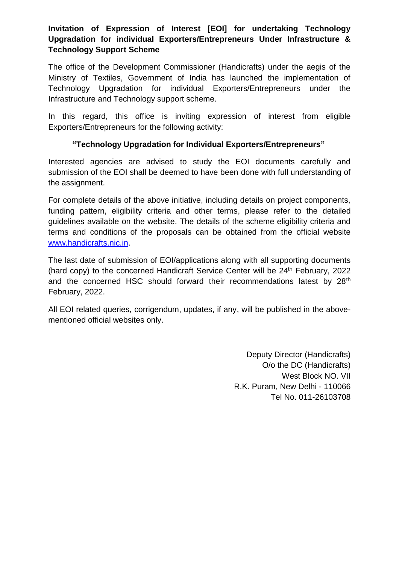# **Invitation of Expression of Interest [EOI] for undertaking Technology Upgradation for individual Exporters/Entrepreneurs Under Infrastructure & Technology Support Scheme**

The office of the Development Commissioner (Handicrafts) under the aegis of the Ministry of Textiles, Government of India has launched the implementation of Technology Upgradation for individual Exporters/Entrepreneurs under the Infrastructure and Technology support scheme.

In this regard, this office is inviting expression of interest from eligible Exporters/Entrepreneurs for the following activity:

#### **"Technology Upgradation for Individual Exporters/Entrepreneurs"**

Interested agencies are advised to study the EOI documents carefully and submission of the EOI shall be deemed to have been done with full understanding of the assignment.

For complete details of the above initiative, including details on project components, funding pattern, eligibility criteria and other terms, please refer to the detailed guidelines available on the website. The details of the scheme eligibility criteria and terms and conditions of the proposals can be obtained from the official website [www.handicrafts.nic.in.](http://www.handicrafts.nic.in/)

The last date of submission of EOI/applications along with all supporting documents (hard copy) to the concerned Handicraft Service Center will be 24<sup>th</sup> February, 2022 and the concerned HSC should forward their recommendations latest by 28<sup>th</sup> February, 2022.

All EOI related queries, corrigendum, updates, if any, will be published in the abovementioned official websites only.

> Deputy Director (Handicrafts) O/o the DC (Handicrafts) West Block NO. VII R.K. Puram, New Delhi - 110066 Tel No. 011-26103708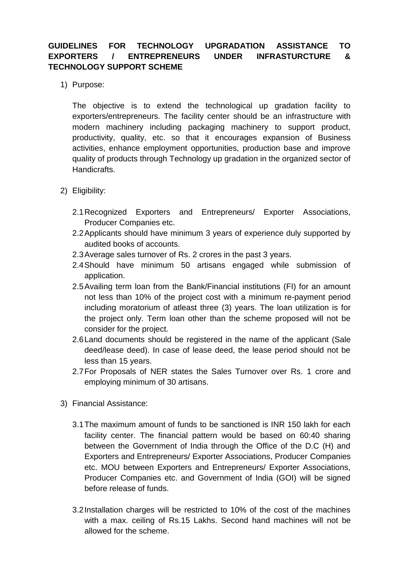### **GUIDELINES FOR TECHNOLOGY UPGRADATION ASSISTANCE TO EXPORTERS / ENTREPRENEURS UNDER INFRASTURCTURE & TECHNOLOGY SUPPORT SCHEME**

1) Purpose:

The objective is to extend the technological up gradation facility to exporters/entrepreneurs. The facility center should be an infrastructure with modern machinery including packaging machinery to support product, productivity, quality, etc. so that it encourages expansion of Business activities, enhance employment opportunities, production base and improve quality of products through Technology up gradation in the organized sector of Handicrafts.

- 2) Eligibility:
	- 2.1Recognized Exporters and Entrepreneurs/ Exporter Associations, Producer Companies etc.
	- 2.2Applicants should have minimum 3 years of experience duly supported by audited books of accounts.
	- 2.3Average sales turnover of Rs. 2 crores in the past 3 years.
	- 2.4Should have minimum 50 artisans engaged while submission of application.
	- 2.5Availing term loan from the Bank/Financial institutions (FI) for an amount not less than 10% of the project cost with a minimum re-payment period including moratorium of atleast three (3) years. The loan utilization is for the project only. Term loan other than the scheme proposed will not be consider for the project.
	- 2.6Land documents should be registered in the name of the applicant (Sale deed/lease deed). In case of lease deed, the lease period should not be less than 15 years.
	- 2.7For Proposals of NER states the Sales Turnover over Rs. 1 crore and employing minimum of 30 artisans.
- 3) Financial Assistance:
	- 3.1The maximum amount of funds to be sanctioned is INR 150 lakh for each facility center. The financial pattern would be based on 60:40 sharing between the Government of India through the Office of the D.C (H) and Exporters and Entrepreneurs/ Exporter Associations, Producer Companies etc. MOU between Exporters and Entrepreneurs/ Exporter Associations, Producer Companies etc. and Government of India (GOI) will be signed before release of funds.
	- 3.2Installation charges will be restricted to 10% of the cost of the machines with a max. ceiling of Rs.15 Lakhs. Second hand machines will not be allowed for the scheme.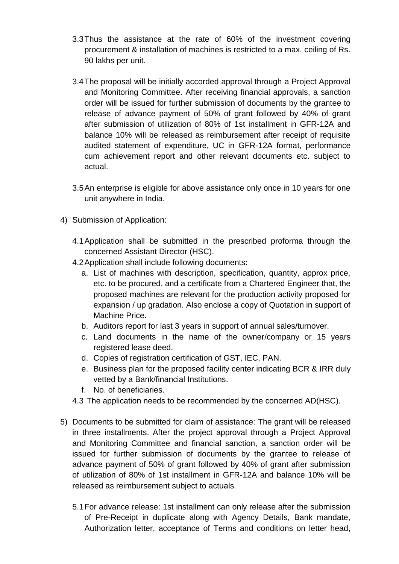- 3.3Thus the assistance at the rate of 60% of the investment covering procurement & installation of machines is restricted to a max. ceiling of Rs. 90 lakhs per unit.
- 3.4The proposal will be initially accorded approval through a Project Approval and Monitoring Committee. After receiving financial approvals, a sanction order will be issued for further submission of documents by the grantee to release of advance payment of 50% of grant followed by 40% of grant after submission of utilization of 80% of 1st installment in GFR-12A and balance 10% will be released as reimbursement after receipt of requisite audited statement of expenditure, UC in GFR-12A format, performance cum achievement report and other relevant documents etc. subject to actual.
- 3.5An enterprise is eligible for above assistance only once in 10 years for one unit anywhere in India.
- 4) Submission of Application:
	- 4.1Application shall be submitted in the prescribed proforma through the concerned Assistant Director (HSC).
	- 4.2Application shall include following documents:
		- a. List of machines with description, specification, quantity, approx price, etc. to be procured, and a certificate from a Chartered Engineer that, the proposed machines are relevant for the production activity proposed for expansion / up gradation. Also enclose a copy of Quotation in support of Machine Price.
		- b. Auditors report for last 3 years in support of annual sales/turnover.
		- c. Land documents in the name of the owner/company or 15 years registered lease deed.
		- d. Copies of registration certification of GST, IEC, PAN.
		- e. Business plan for the proposed facility center indicating BCR & IRR duly vetted by a Bank/financial Institutions.
		- f. No. of beneficiaries.
	- 4.3 The application needs to be recommended by the concerned AD(HSC).
- 5) Documents to be submitted for claim of assistance: The grant will be released in three installments. After the project approval through a Project Approval and Monitoring Committee and financial sanction, a sanction order will be issued for further submission of documents by the grantee to release of advance payment of 50% of grant followed by 40% of grant after submission of utilization of 80% of 1st installment in GFR-12A and balance 10% will be released as reimbursement subject to actuals.
	- 5.1For advance release: 1st installment can only release after the submission of Pre-Receipt in duplicate along with Agency Details, Bank mandate, Authorization letter, acceptance of Terms and conditions on letter head,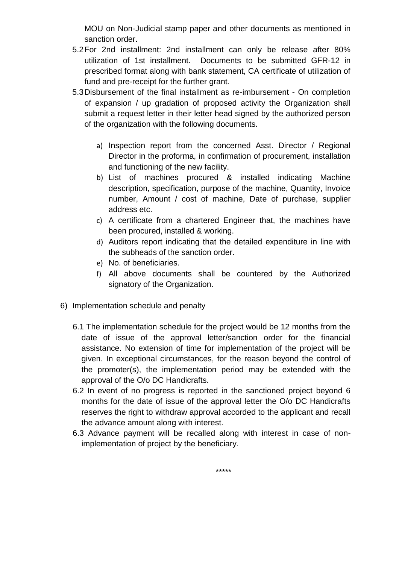MOU on Non-Judicial stamp paper and other documents as mentioned in sanction order.

- 5.2For 2nd installment: 2nd installment can only be release after 80% utilization of 1st installment. Documents to be submitted GFR-12 in prescribed format along with bank statement, CA certificate of utilization of fund and pre-receipt for the further grant.
- 5.3Disbursement of the final installment as re-imbursement On completion of expansion / up gradation of proposed activity the Organization shall submit a request letter in their letter head signed by the authorized person of the organization with the following documents.
	- a) Inspection report from the concerned Asst. Director / Regional Director in the proforma, in confirmation of procurement, installation and functioning of the new facility.
	- b) List of machines procured & installed indicating Machine description, specification, purpose of the machine, Quantity, Invoice number, Amount / cost of machine, Date of purchase, supplier address etc.
	- c) A certificate from a chartered Engineer that, the machines have been procured, installed & working.
	- d) Auditors report indicating that the detailed expenditure in line with the subheads of the sanction order.
	- e) No. of beneficiaries.
	- f) All above documents shall be countered by the Authorized signatory of the Organization.
- 6) Implementation schedule and penalty
	- 6.1 The implementation schedule for the project would be 12 months from the date of issue of the approval letter/sanction order for the financial assistance. No extension of time for implementation of the project will be given. In exceptional circumstances, for the reason beyond the control of the promoter(s), the implementation period may be extended with the approval of the O/o DC Handicrafts.
	- 6.2 In event of no progress is reported in the sanctioned project beyond 6 months for the date of issue of the approval letter the O/o DC Handicrafts reserves the right to withdraw approval accorded to the applicant and recall the advance amount along with interest.
	- 6.3 Advance payment will be recalled along with interest in case of nonimplementation of project by the beneficiary.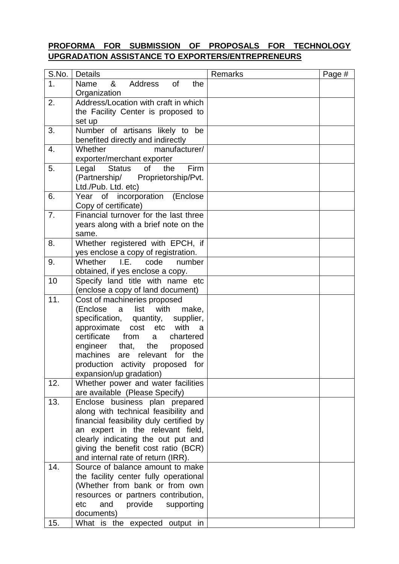# **PROFORMA FOR SUBMISSION OF PROPOSALS FOR TECHNOLOGY UPGRADATION ASSISTANCE TO EXPORTERS/ENTREPRENEURS**

| S.No.          | <b>Details</b>                                                        | Remarks | Page # |
|----------------|-----------------------------------------------------------------------|---------|--------|
| 1 <sub>1</sub> | &<br>Address<br>of<br>the<br>Name                                     |         |        |
|                | Organization                                                          |         |        |
| 2.             | Address/Location with craft in which                                  |         |        |
|                | the Facility Center is proposed to                                    |         |        |
|                | set up                                                                |         |        |
| 3.             | Number of artisans likely to be                                       |         |        |
|                | benefited directly and indirectly                                     |         |        |
| 4.             | manufacturer/<br>Whether                                              |         |        |
|                | exporter/merchant exporter                                            |         |        |
| 5.             | Firm<br>of<br>Legal<br>the<br>Status                                  |         |        |
|                | (Partnership/<br>Proprietorship/Pvt.                                  |         |        |
|                | Ltd./Pub. Ltd. etc)                                                   |         |        |
| 6.             | Year of incorporation (Enclose                                        |         |        |
|                | Copy of certificate)                                                  |         |        |
| 7.             | Financial turnover for the last three                                 |         |        |
|                | years along with a brief note on the                                  |         |        |
|                | same.                                                                 |         |        |
| 8.             | Whether registered with EPCH, if                                      |         |        |
|                | yes enclose a copy of registration.                                   |         |        |
| 9.             | Whether<br>I.E.<br>code<br>number                                     |         |        |
|                | obtained, if yes enclose a copy.                                      |         |        |
| 10             | Specify land title with name etc                                      |         |        |
|                | (enclose a copy of land document)                                     |         |        |
| 11.            | Cost of machineries proposed                                          |         |        |
|                | (Enclose<br>list<br>with<br>make,<br>a                                |         |        |
|                | specification, quantity,<br>supplier,                                 |         |        |
|                | cost etc with<br>approximate<br>a                                     |         |        |
|                | certificate<br>from<br>chartered<br>a                                 |         |        |
|                | engineer<br>that, the<br>proposed<br>are relevant for the<br>machines |         |        |
|                | production activity proposed<br>for                                   |         |        |
|                | expansion/up gradation)                                               |         |        |
| 12.            | Whether power and water facilities                                    |         |        |
|                | are available (Please Specify)                                        |         |        |
| 13.            | Enclose business plan prepared                                        |         |        |
|                | along with technical feasibility and                                  |         |        |
|                | financial feasibility duly certified by                               |         |        |
|                | an expert in the relevant field,                                      |         |        |
|                | clearly indicating the out put and                                    |         |        |
|                | giving the benefit cost ratio (BCR)                                   |         |        |
|                | and internal rate of return (IRR).                                    |         |        |
| 14.            | Source of balance amount to make                                      |         |        |
|                | the facility center fully operational                                 |         |        |
|                | (Whether from bank or from own                                        |         |        |
|                | resources or partners contribution,                                   |         |        |
|                | and<br>provide supporting<br>etc                                      |         |        |
|                | documents)                                                            |         |        |
| 15.            | What is the expected output in                                        |         |        |